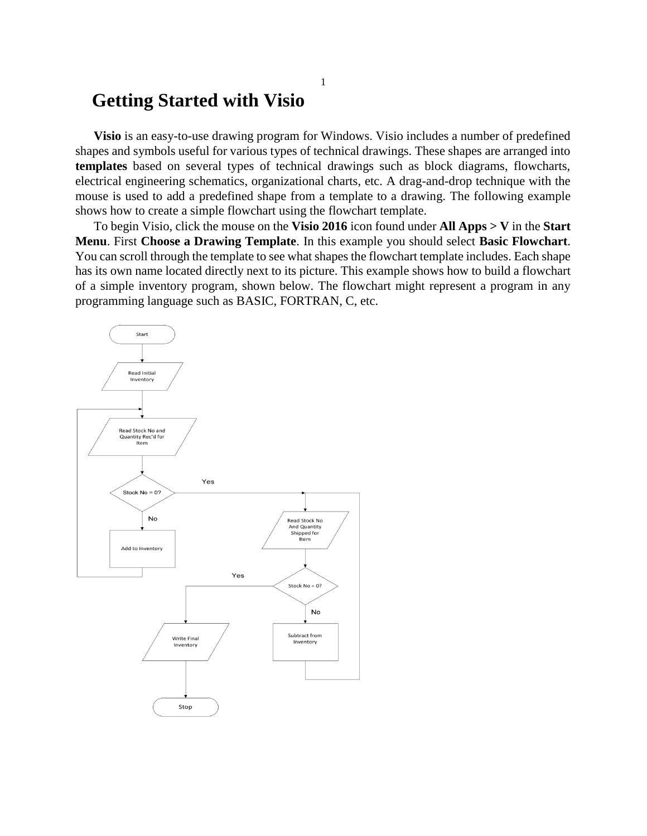# **Getting Started with Visio**

**Visio** is an easy-to-use drawing program for Windows. Visio includes a number of predefined shapes and symbols useful for various types of technical drawings. These shapes are arranged into **templates** based on several types of technical drawings such as block diagrams, flowcharts, electrical engineering schematics, organizational charts, etc. A drag-and-drop technique with the mouse is used to add a predefined shape from a template to a drawing. The following example shows how to create a simple flowchart using the flowchart template.

To begin Visio, click the mouse on the **Visio 2016** icon found under **All Apps > V** in the **Start Menu**. First **Choose a Drawing Template**. In this example you should select **Basic Flowchart**. You can scroll through the template to see what shapes the flowchart template includes. Each shape has its own name located directly next to its picture. This example shows how to build a flowchart of a simple inventory program, shown below. The flowchart might represent a program in any programming language such as BASIC, FORTRAN, C, etc.

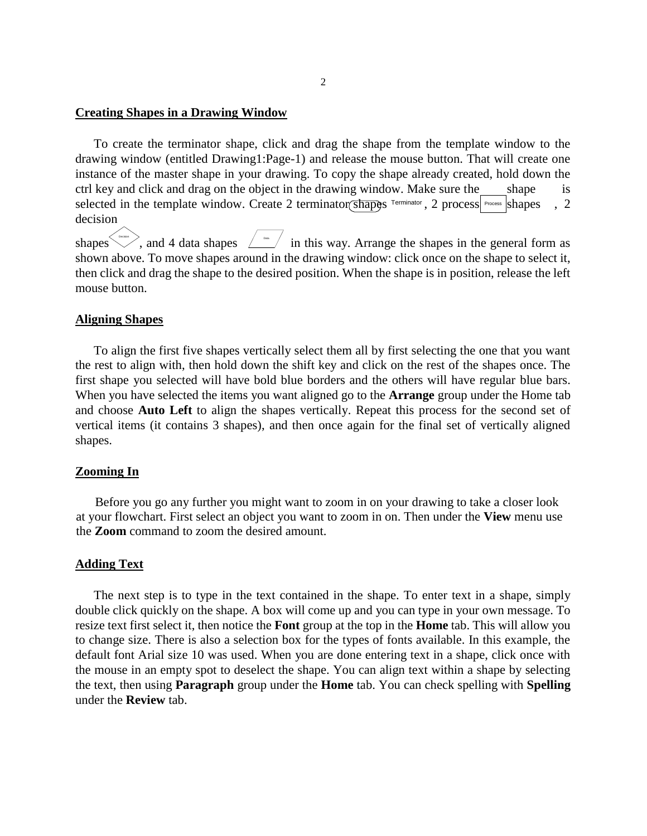### **Creating Shapes in a Drawing Window**

To create the terminator shape, click and drag the shape from the template window to the drawing window (entitled Drawing1:Page-1) and release the mouse button. That will create one instance of the master shape in your drawing. To copy the shape already created, hold down the ctrl key and click and drag on the object in the drawing window. Make sure the shape is selected in the template window. Create 2 terminator  $\delta$ hapes  $\delta$ <sup>Process</sup> shapes , 2 decision

shapes  $\sim$ , and 4 data shapes  $\angle$  and in this way. Arrange the shapes in the general form as shown above. To move shapes around in the drawing window: click once on the shape to select it, then click and drag the shape to the desired position. When the shape is in position, release the left mouse button.

# **Aligning Shapes**

To align the first five shapes vertically select them all by first selecting the one that you want the rest to align with, then hold down the shift key and click on the rest of the shapes once. The first shape you selected will have bold blue borders and the others will have regular blue bars. When you have selected the items you want aligned go to the **Arrange** group under the Home tab and choose **Auto Left** to align the shapes vertically. Repeat this process for the second set of vertical items (it contains 3 shapes), and then once again for the final set of vertically aligned shapes.

## **Zooming In**

Before you go any further you might want to zoom in on your drawing to take a closer look at your flowchart. First select an object you want to zoom in on. Then under the **View** menu use the **Zoom** command to zoom the desired amount.

# **Adding Text**

The next step is to type in the text contained in the shape. To enter text in a shape, simply double click quickly on the shape. A box will come up and you can type in your own message. To resize text first select it, then notice the **Font** group at the top in the **Home** tab. This will allow you to change size. There is also a selection box for the types of fonts available. In this example, the default font Arial size 10 was used. When you are done entering text in a shape, click once with the mouse in an empty spot to deselect the shape. You can align text within a shape by selecting the text, then using **Paragraph** group under the **Home** tab. You can check spelling with **Spelling** under the **Review** tab.